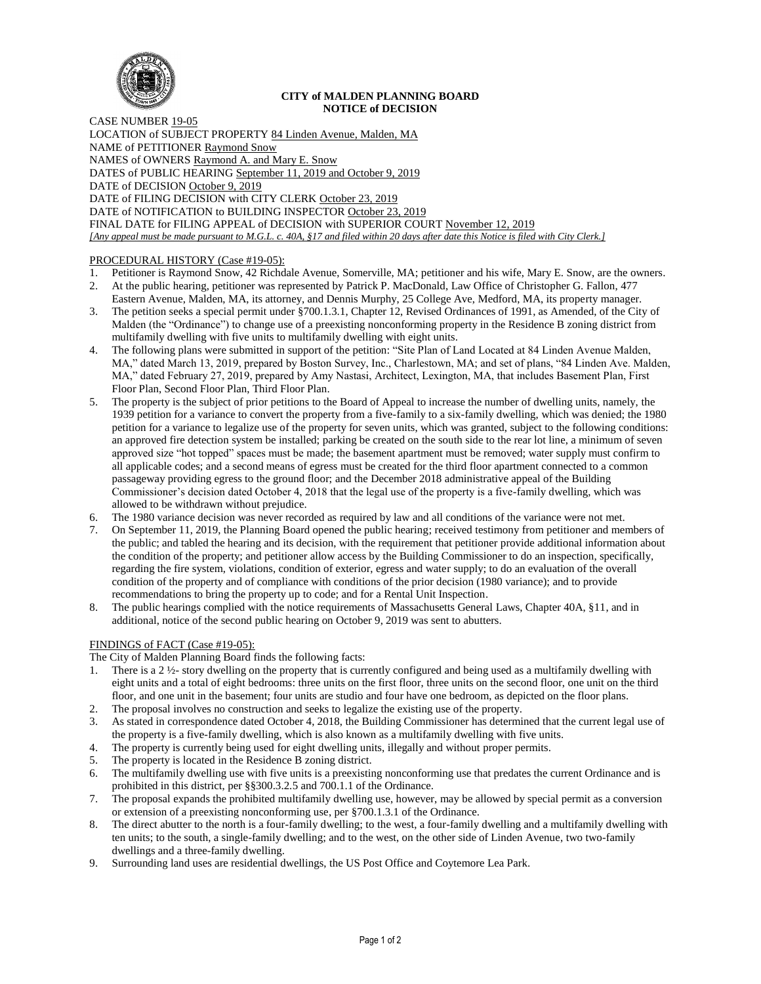

### **CITY of MALDEN PLANNING BOARD NOTICE of DECISION**

CASE NUMBER 19-05 LOCATION of SUBJECT PROPERTY 84 Linden Avenue, Malden, MA NAME of PETITIONER Raymond Snow NAMES of OWNERS Raymond A. and Mary E. Snow DATES of PUBLIC HEARING September 11, 2019 and October 9, 2019 DATE of DECISION October 9, 2019 DATE of FILING DECISION with CITY CLERK October 23, 2019 DATE of NOTIFICATION to BUILDING INSPECTOR October 23, 2019 FINAL DATE for FILING APPEAL of DECISION with SUPERIOR COURT November 12, 2019 *[Any appeal must be made pursuant to M.G.L. c. 40A, §17 and filed within 20 days after date this Notice is filed with City Clerk.]* 

# PROCEDURAL HISTORY (Case #19-05):

- 1. Petitioner is Raymond Snow, 42 Richdale Avenue, Somerville, MA; petitioner and his wife, Mary E. Snow, are the owners.
- 2. At the public hearing, petitioner was represented by Patrick P. MacDonald, Law Office of Christopher G. Fallon, 477 Eastern Avenue, Malden, MA, its attorney, and Dennis Murphy, 25 College Ave, Medford, MA, its property manager.
- 3. The petition seeks a special permit under §700.1.3.1, Chapter 12, Revised Ordinances of 1991, as Amended, of the City of Malden (the "Ordinance") to change use of a preexisting nonconforming property in the Residence B zoning district from multifamily dwelling with five units to multifamily dwelling with eight units.
- 4. The following plans were submitted in support of the petition: "Site Plan of Land Located at 84 Linden Avenue Malden, MA," dated March 13, 2019, prepared by Boston Survey, Inc., Charlestown, MA; and set of plans, "84 Linden Ave. Malden, MA," dated February 27, 2019, prepared by Amy Nastasi, Architect, Lexington, MA, that includes Basement Plan, First Floor Plan, Second Floor Plan, Third Floor Plan.
- 5. The property is the subject of prior petitions to the Board of Appeal to increase the number of dwelling units, namely, the 1939 petition for a variance to convert the property from a five-family to a six-family dwelling, which was denied; the 1980 petition for a variance to legalize use of the property for seven units, which was granted, subject to the following conditions: an approved fire detection system be installed; parking be created on the south side to the rear lot line, a minimum of seven approved size "hot topped" spaces must be made; the basement apartment must be removed; water supply must confirm to all applicable codes; and a second means of egress must be created for the third floor apartment connected to a common passageway providing egress to the ground floor; and the December 2018 administrative appeal of the Building Commissioner's decision dated October 4, 2018 that the legal use of the property is a five-family dwelling, which was allowed to be withdrawn without prejudice.
- The 1980 variance decision was never recorded as required by law and all conditions of the variance were not met.
- 7. On September 11, 2019, the Planning Board opened the public hearing; received testimony from petitioner and members of the public; and tabled the hearing and its decision, with the requirement that petitioner provide additional information about the condition of the property; and petitioner allow access by the Building Commissioner to do an inspection, specifically, regarding the fire system, violations, condition of exterior, egress and water supply; to do an evaluation of the overall condition of the property and of compliance with conditions of the prior decision (1980 variance); and to provide recommendations to bring the property up to code; and for a Rental Unit Inspection.
- 8. The public hearings complied with the notice requirements of Massachusetts General Laws, Chapter 40A, §11, and in additional, notice of the second public hearing on October 9, 2019 was sent to abutters.

# FINDINGS of FACT (Case #19-05):

The City of Malden Planning Board finds the following facts:

- 1. There is a 2 ½- story dwelling on the property that is currently configured and being used as a multifamily dwelling with eight units and a total of eight bedrooms: three units on the first floor, three units on the second floor, one unit on the third floor, and one unit in the basement; four units are studio and four have one bedroom, as depicted on the floor plans.
- 2. The proposal involves no construction and seeks to legalize the existing use of the property.
- 3. As stated in correspondence dated October 4, 2018, the Building Commissioner has determined that the current legal use of the property is a five-family dwelling, which is also known as a multifamily dwelling with five units.
- 4. The property is currently being used for eight dwelling units, illegally and without proper permits.
- 5. The property is located in the Residence B zoning district.
- 6. The multifamily dwelling use with five units is a preexisting nonconforming use that predates the current Ordinance and is prohibited in this district, per §§300.3.2.5 and 700.1.1 of the Ordinance.
- 7. The proposal expands the prohibited multifamily dwelling use, however, may be allowed by special permit as a conversion or extension of a preexisting nonconforming use, per §700.1.3.1 of the Ordinance.
- 8. The direct abutter to the north is a four-family dwelling; to the west, a four-family dwelling and a multifamily dwelling with ten units; to the south, a single-family dwelling; and to the west, on the other side of Linden Avenue, two two-family dwellings and a three-family dwelling.
- Surrounding land uses are residential dwellings, the US Post Office and Coytemore Lea Park.